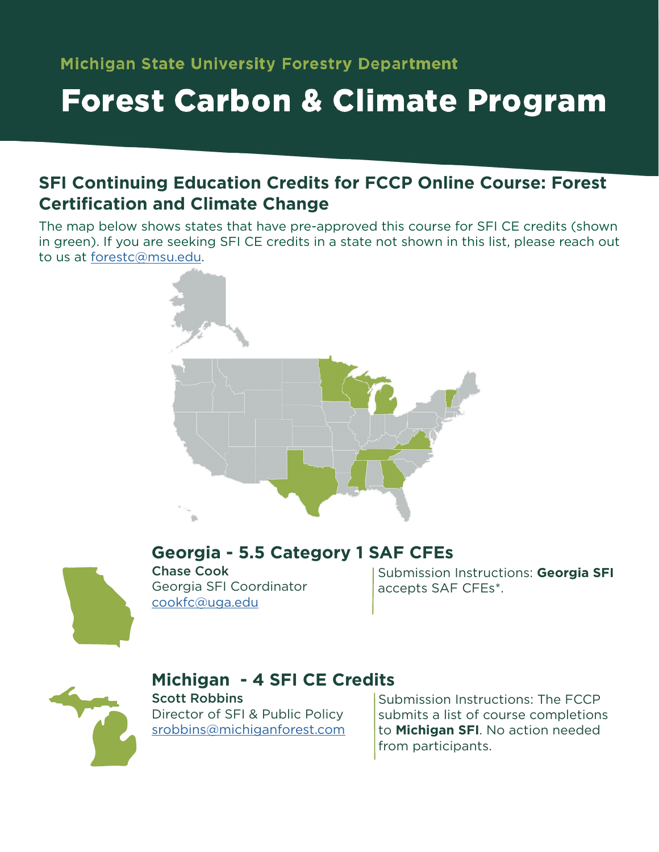## **Forest Carbon & Climate Program**

### **SFI Continuing Education Credits for FCCP Online Course: Forest Certification and Climate Change**

The map below shows states that have pre-approved this course for SFI CE credits (shown in green). If you are seeking SFI CE credits in a state not shown in this list, please reach out to us at [forestc@msu.edu](mailto:forestc%40msu.edu?subject=).





Chase Cook Georgia SFI Coordinator [cookfc@uga.edu](mailto:cookfc%40uga.edu?subject=) **Georgia - 5.5 Category 1 SAF CFEs** 

Submission Instructions: **Georgia SFI** accepts SAF CFEs\*.



## **Michigan - 4 SFI CE Credits**

Scott Robbins Director of SFI & Public Policy [srobbins@michiganforest.com](mailto:srobbins%40michiganforest.com?subject=) Submission Instructions: The FCCP submits a list of course completions to **Michigan SFI**. No action needed from participants.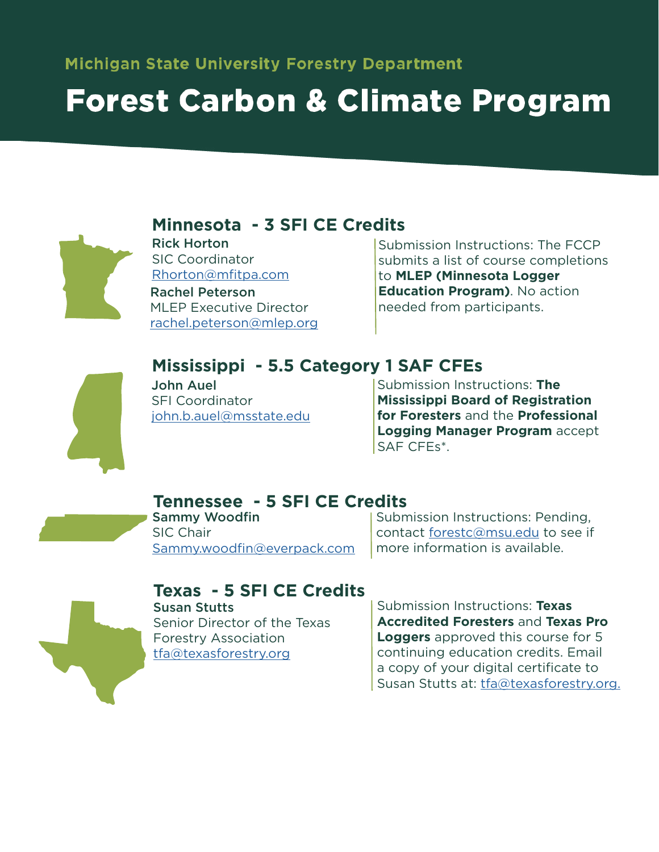# **Forest Carbon & Climate Program**



Rick Horton SIC Coordinator Rhorton@mfitpa.com Rachel Peterson **Minnesota - 3 SFI CE Credits**

MLEP Executive Director rachel.peterson@mlep.org Submission Instructions: The FCCP submits a list of course completions to **MLEP (Minnesota Logger Education Program)**. No action needed from participants.



## **Mississippi - 5.5 Category 1 SAF CFEs**

John Auel SFI Coordinator john.b.auel@msstate.edu

Submission Instructions: **The Mississippi Board of Registration for Foresters** and the **Professional Logging Manager Program** accept SAF CFEs\*.

#### **Tennessee - 5 SFI CE Credits**

Sammy Woodfin SIC Chair [Sammy.woodfin@everpack.com](mailto:Sammy.woodfin%40everpack.com?subject=) Submission Instructions: Pending, contact [forestc@msu.edu](mailto:forestc%40msu.edu?subject=) to see if more information is available.



#### **Texas - 5 SFI CE Credits**

Susan Stutts Senior Director of the Texas Forestry Association [tfa@texasforestry.org](mailto:tfa%40texasforestry.org?subject=)

Submission Instructions: **Texas Accredited Foresters** and **Texas Pro Loggers** approved this course for 5 continuing education credits. Email a copy of your digital certificate to Susan Stutts at: [tfa@texasforestry.org.](mailto:tfa%40texasforestry.org?subject=)